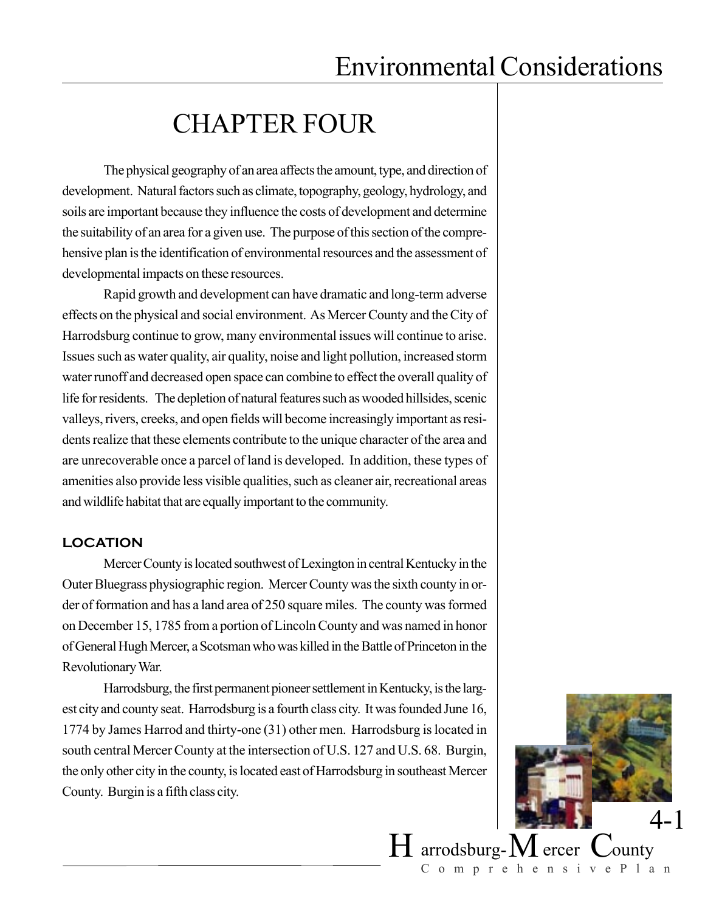## CHAPTER FOUR

The physical geography of an area affects the amount, type, and direction of development. Natural factors such as climate, topography, geology, hydrology, and soils are important because they influence the costs of development and determine the suitability of an area for a given use. The purpose of this section of the comprehensive plan is the identification of environmental resources and the assessment of developmental impacts on these resources.

Rapid growth and development can have dramatic and long-term adverse effects on the physical and social environment. As Mercer County and the City of Harrodsburg continue to grow, many environmental issues will continue to arise. Issues such as water quality, air quality, noise and light pollution, increased storm water runoff and decreased open space can combine to effect the overall quality of life for residents. The depletion of natural features such as wooded hillsides, scenic valleys, rivers, creeks, and open fields will become increasingly important as residents realize that these elements contribute to the unique character of the area and are unrecoverable once a parcel of land is developed. In addition, these types of amenities also provide less visible qualities, such as cleaner air, recreational areas and wildlife habitat that are equally important to the community.

#### **LOCATION**

Mercer County is located southwest of Lexington in central Kentucky in the Outer Bluegrass physiographic region. Mercer County was the sixth county in order of formation and has a land area of 250 square miles. The county was formed on December 15, 1785 from a portion of Lincoln County and was named in honor of General Hugh Mercer, a Scotsman who was killed in the Battle of Princeton in the Revolutionary War.

Harrodsburg, the first permanent pioneer settlement in Kentucky, is the largest city and county seat. Harrodsburg is a fourth class city. It was founded June 16, 1774 by James Harrod and thirty-one (31) other men. Harrodsburg is located in south central Mercer County at the intersection of U.S. 127 and U.S. 68. Burgin, the only other city in the county, is located east of Harrodsburg in southeast Mercer County. Burgin is a fifth class city.



 $H$  arrodsburg- $M$  ercer  $C$ ounty ComprehensivePlan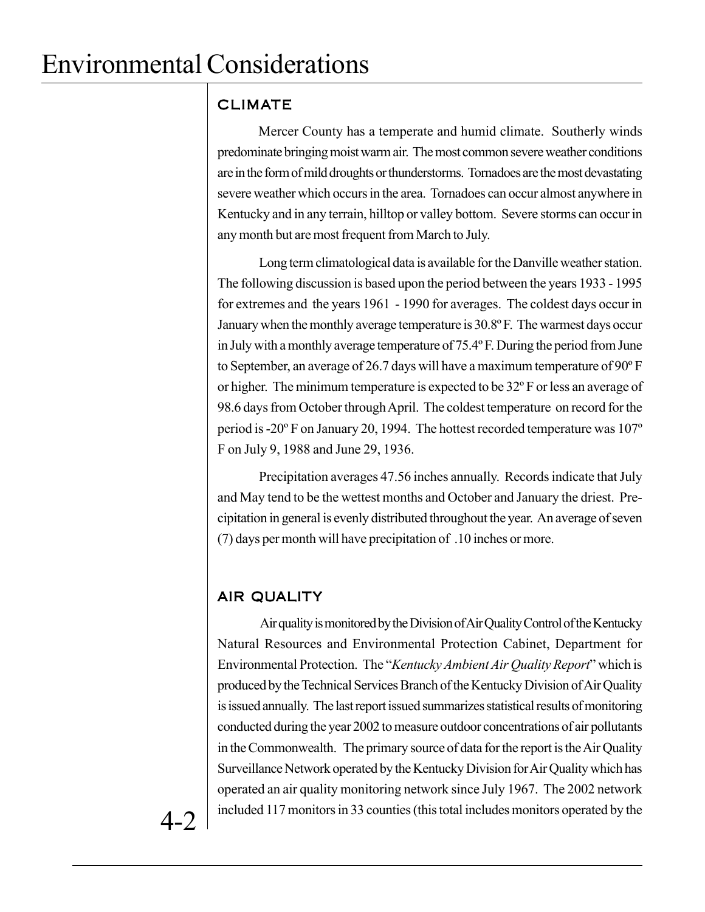### CLIMATE

Mercer County has a temperate and humid climate. Southerly winds predominate bringing moist warm air. The most common severe weather conditions are in the form of mild droughts or thunderstorms. Tornadoes are the most devastating severe weather which occurs in the area. Tornadoes can occur almost anywhere in Kentucky and in any terrain, hilltop or valley bottom. Severe storms can occur in any month but are most frequent from March to July.

Long term climatological data is available for the Danville weather station. The following discussion is based upon the period between the years 1933 - 1995 for extremes and the years 1961 - 1990 for averages. The coldest days occur in January when the monthly average temperature is 30.8º F. The warmest days occur in July with a monthly average temperature of 75.4º F. During the period from June to September, an average of 26.7 days will have a maximum temperature of 90º F or higher. The minimum temperature is expected to be 32º F or less an average of 98.6 days from October through April. The coldest temperature on record for the period is -20º F on January 20, 1994. The hottest recorded temperature was 107º F on July 9, 1988 and June 29, 1936.

Precipitation averages 47.56 inches annually. Records indicate that July and May tend to be the wettest months and October and January the driest. Precipitation in general is evenly distributed throughout the year. An average of seven (7) days per month will have precipitation of .10 inches or more.

## AIR QUALITY

Air quality is monitored by the Division of Air Quality Control of the Kentucky Natural Resources and Environmental Protection Cabinet, Department for Environmental Protection. The "*Kentucky Ambient Air Quality Report*" which is produced by the Technical Services Branch of the Kentucky Division of Air Quality is issued annually. The last report issued summarizes statistical results of monitoring conducted during the year 2002 to measure outdoor concentrations of air pollutants in the Commonwealth. The primary source of data for the report is the Air Quality Surveillance Network operated by the Kentucky Division for Air Quality which has operated an air quality monitoring network since July 1967. The 2002 network included 117 monitors in 33 counties (this total includes monitors operated by the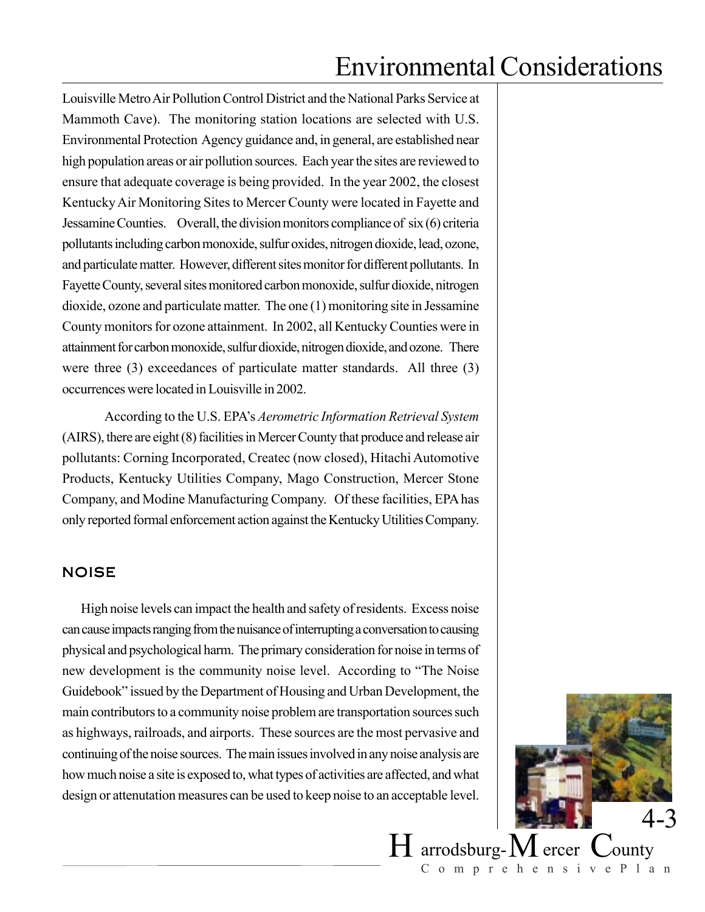Louisville Metro Air Pollution Control District and the National Parks Service at Mammoth Cave). The monitoring station locations are selected with U.S. Environmental Protection Agency guidance and, in general, are established near high population areas or air pollution sources. Each year the sites are reviewed to ensure that adequate coverage is being provided. In the year 2002, the closest Kentucky Air Monitoring Sites to Mercer County were located in Fayette and Jessamine Counties. Overall, the division monitors compliance of six (6) criteria pollutants including carbon monoxide, sulfur oxides, nitrogen dioxide, lead, ozone, and particulate matter. However, different sites monitor for different pollutants. In Fayette County, several sites monitored carbon monoxide, sulfur dioxide, nitrogen dioxide, ozone and particulate matter. The one (1) monitoring site in Jessamine County monitors for ozone attainment. In 2002, all Kentucky Counties were in attainment for carbon monoxide, sulfur dioxide, nitrogen dioxide, and ozone. There were three (3) exceedances of particulate matter standards. All three (3) occurrences were located in Louisville in 2002.

According to the U.S. EPA's *Aerometric Information Retrieval System* (AIRS), there are eight (8) facilities in Mercer County that produce and release air pollutants: Corning Incorporated, Createc (now closed), Hitachi Automotive Products, Kentucky Utilities Company, Mago Construction, Mercer Stone Company, and Modine Manufacturing Company. Of these facilities, EPA has only reported formal enforcement action against the Kentucky Utilities Company.

#### NOISE

 High noise levels can impact the health and safety of residents. Excess noise can cause impacts ranging from the nuisance of interrupting a conversation to causing physical and psychological harm. The primary consideration for noise in terms of new development is the community noise level. According to "The Noise Guidebook" issued by the Department of Housing and Urban Development, the main contributors to a community noise problem are transportation sources such as highways, railroads, and airports. These sources are the most pervasive and continuing of the noise sources. The main issues involved in any noise analysis are how much noise a site is exposed to, what types of activities are affected, and what design or attenutation measures can be used to keep noise to an acceptable level.



 $H$  arrodsburg- $M$  ercer  $C$ ounty ComprehensivePlan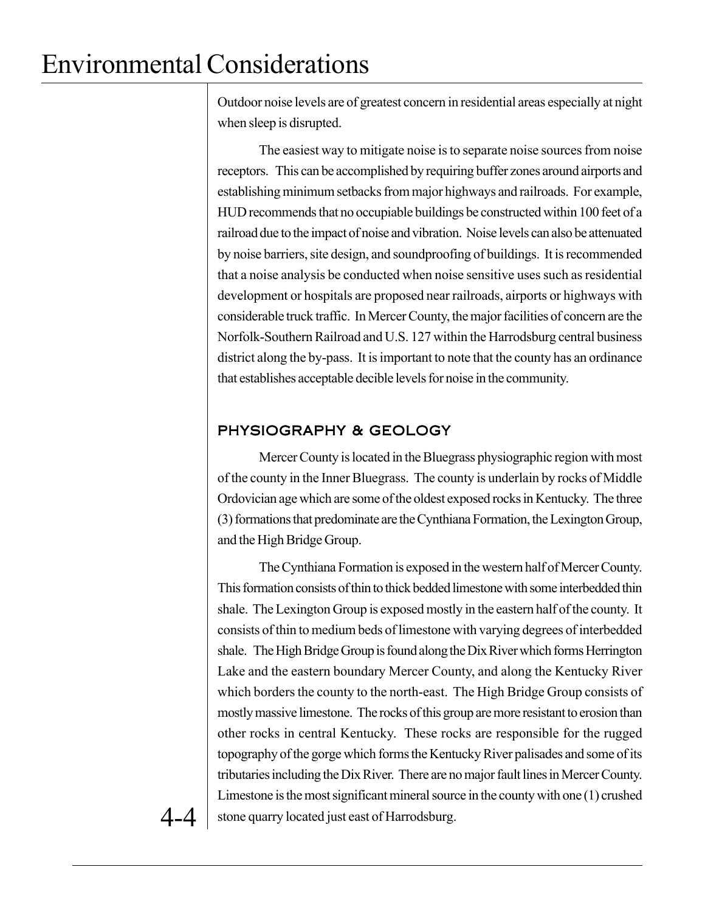Outdoor noise levels are of greatest concern in residential areas especially at night when sleep is disrupted.

The easiest way to mitigate noise is to separate noise sources from noise receptors. This can be accomplished by requiring buffer zones around airports and establishing minimum setbacks from major highways and railroads. For example, HUD recommends that no occupiable buildings be constructed within 100 feet of a railroad due to the impact of noise and vibration. Noise levels can also be attenuated by noise barriers, site design, and soundproofing of buildings. It is recommended that a noise analysis be conducted when noise sensitive uses such as residential development or hospitals are proposed near railroads, airports or highways with considerable truck traffic. In Mercer County, the major facilities of concern are the Norfolk-Southern Railroad and U.S. 127 within the Harrodsburg central business district along the by-pass. It is important to note that the county has an ordinance that establishes acceptable decible levels for noise in the community.

### PHYSIOGRAPHY & GEOLOGY

Mercer County is located in the Bluegrass physiographic region with most of the county in the Inner Bluegrass. The county is underlain by rocks of Middle Ordovician age which are some of the oldest exposed rocks in Kentucky. The three (3) formations that predominate are the Cynthiana Formation, the Lexington Group, and the High Bridge Group.

The Cynthiana Formation is exposed in the western half of Mercer County. This formation consists of thin to thick bedded limestone with some interbedded thin shale. The Lexington Group is exposed mostly in the eastern half of the county. It consists of thin to medium beds of limestone with varying degrees of interbedded shale. The High Bridge Group is found along the Dix River which forms Herrington Lake and the eastern boundary Mercer County, and along the Kentucky River which borders the county to the north-east. The High Bridge Group consists of mostly massive limestone. The rocks of this group are more resistant to erosion than other rocks in central Kentucky. These rocks are responsible for the rugged topography of the gorge which forms the Kentucky River palisades and some of its tributaries including the Dix River. There are no major fault lines in Mercer County. Limestone is the most significant mineral source in the county with one (1) crushed stone quarry located just east of Harrodsburg.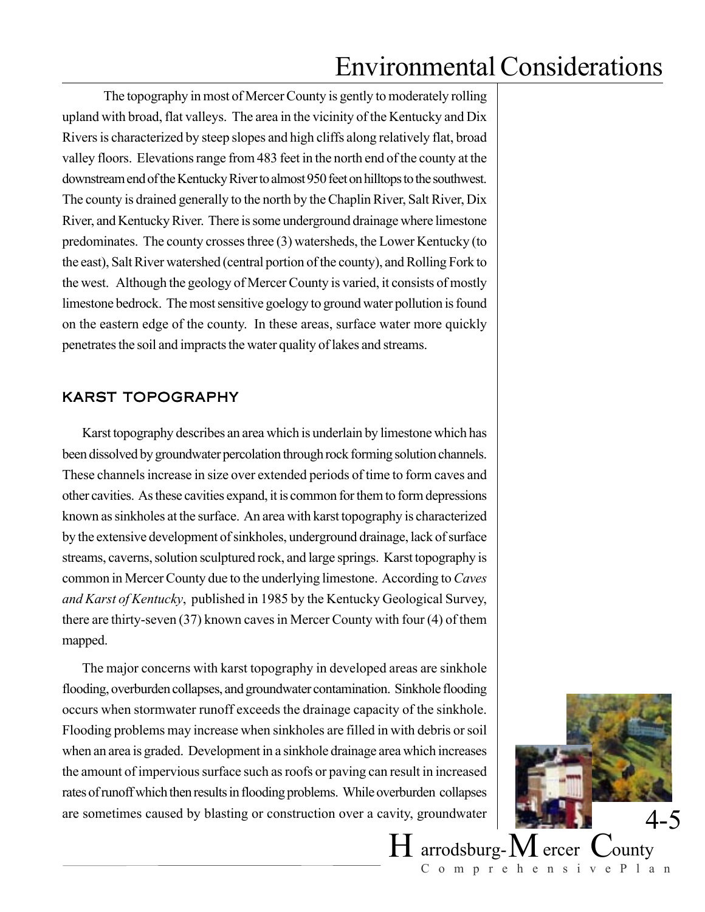The topography in most of Mercer County is gently to moderately rolling upland with broad, flat valleys. The area in the vicinity of the Kentucky and Dix Rivers is characterized by steep slopes and high cliffs along relatively flat, broad valley floors. Elevations range from 483 feet in the north end of the county at the downstream end of the Kentucky River to almost 950 feet on hilltops to the southwest. The county is drained generally to the north by the Chaplin River, Salt River, Dix River, and Kentucky River. There is some underground drainage where limestone predominates. The county crosses three (3) watersheds, the Lower Kentucky (to the east), Salt River watershed (central portion of the county), and Rolling Fork to the west. Although the geology of Mercer County is varied, it consists of mostly limestone bedrock. The most sensitive goelogy to ground water pollution is found on the eastern edge of the county. In these areas, surface water more quickly penetrates the soil and impracts the water quality of lakes and streams.

#### KARST TOPOGRAPHY

Karst topography describes an area which is underlain by limestone which has been dissolved by groundwater percolation through rock forming solution channels. These channels increase in size over extended periods of time to form caves and other cavities. As these cavities expand, it is common for them to form depressions known as sinkholes at the surface. An area with karst topography is characterized by the extensive development of sinkholes, underground drainage, lack of surface streams, caverns, solution sculptured rock, and large springs. Karst topography is common in Mercer County due to the underlying limestone. According to *Caves and Karst of Kentucky*, published in 1985 by the Kentucky Geological Survey, there are thirty-seven (37) known caves in Mercer County with four (4) of them mapped.

The major concerns with karst topography in developed areas are sinkhole flooding, overburden collapses, and groundwater contamination. Sinkhole flooding occurs when stormwater runoff exceeds the drainage capacity of the sinkhole. Flooding problems may increase when sinkholes are filled in with debris or soil when an area is graded. Development in a sinkhole drainage area which increases the amount of impervious surface such as roofs or paving can result in increased rates of runoff which then results in flooding problems. While overburden collapses are sometimes caused by blasting or construction over a cavity, groundwater



ComprehensivePlan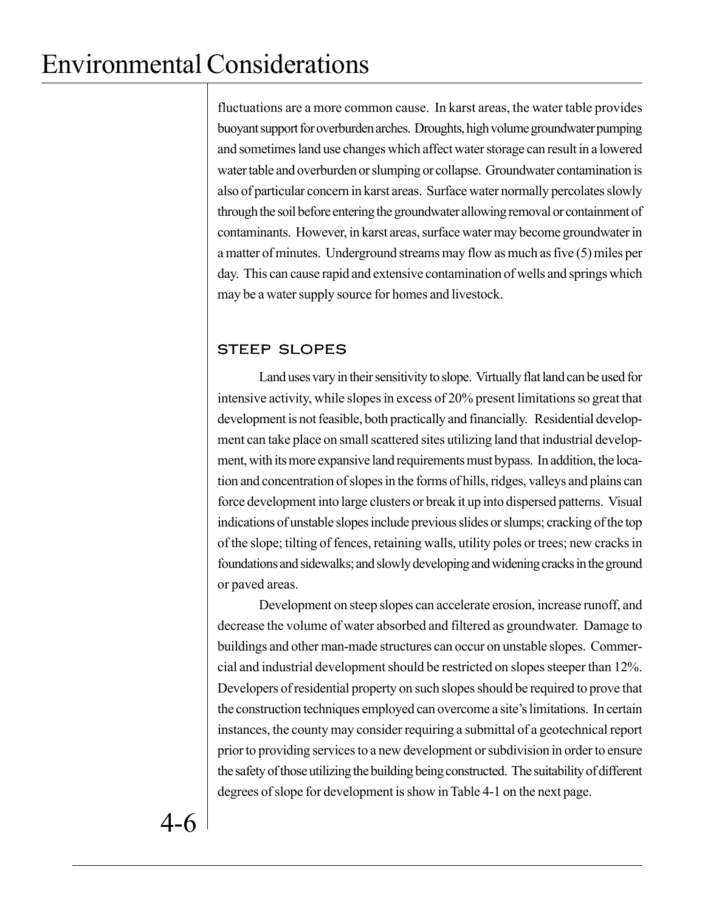fluctuations are a more common cause. In karst areas, the water table provides buoyant support for overburden arches. Droughts, high volume groundwater pumping and sometimes land use changes which affect water storage can result in a lowered water table and overburden or slumping or collapse. Groundwater contamination is also of particular concern in karst areas. Surface water normally percolates slowly through the soil before entering the groundwater allowing removal or containment of contaminants. However, in karst areas, surface water may become groundwater in a matter of minutes. Underground streams may flow as much as five (5) miles per day. This can cause rapid and extensive contamination of wells and springs which may be a water supply source for homes and livestock.

### STEEP SLOPES

Land uses vary in their sensitivity to slope. Virtually flat land can be used for intensive activity, while slopes in excess of 20% present limitations so great that development is not feasible, both practically and financially. Residential development can take place on small scattered sites utilizing land that industrial development, with its more expansive land requirements must bypass. In addition, the location and concentration of slopes in the forms of hills, ridges, valleys and plains can force development into large clusters or break it up into dispersed patterns. Visual indications of unstable slopes include previous slides or slumps; cracking of the top of the slope; tilting of fences, retaining walls, utility poles or trees; new cracks in foundations and sidewalks; and slowly developing and widening cracks in the ground or paved areas.

Development on steep slopes can accelerate erosion, increase runoff, and decrease the volume of water absorbed and filtered as groundwater. Damage to buildings and other man-made structures can occur on unstable slopes. Commercial and industrial development should be restricted on slopes steeper than 12%. Developers of residential property on such slopes should be required to prove that the construction techniques employed can overcome a site's limitations. In certain instances, the county may consider requiring a submittal of a geotechnical report prior to providing services to a new development or subdivision in order to ensure the safety of those utilizing the building being constructed. The suitability of different degrees of slope for development is show in Table 4-1 on the next page.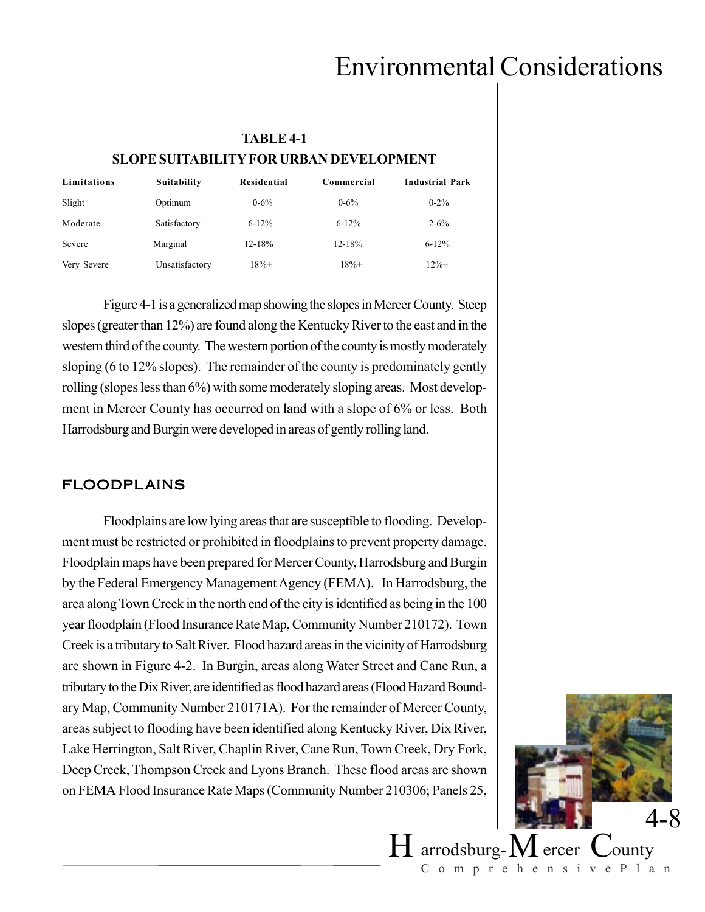| <b>TABLE 4-1</b>                               |              |                    |            |                        |  |  |
|------------------------------------------------|--------------|--------------------|------------|------------------------|--|--|
| <b>SLOPE SUITABILITY FOR URBAN DEVELOPMENT</b> |              |                    |            |                        |  |  |
| Limitations                                    | Suitability  | <b>Residential</b> | Commercial | <b>Industrial Park</b> |  |  |
| Slight                                         | Optimum      | $0 - 6\%$          | $0 - 6\%$  | $0 - 2\%$              |  |  |
| Moderate                                       | Satisfactory | $6 - 12%$          | $6 - 12%$  | $2 - 6\%$              |  |  |

Severe Marginal 12-18% 12-18% 6-12% Very Severe Unsatisfactory 18%+ 18% 18%+ 18% 12%+ Figure 4-1 is a generalized map showing the slopes in Mercer County. Steep

slopes (greater than 12%) are found along the Kentucky River to the east and in the western third of the county. The western portion of the county is mostly moderately sloping (6 to 12% slopes). The remainder of the county is predominately gently rolling (slopes less than 6%) with some moderately sloping areas. Most development in Mercer County has occurred on land with a slope of 6% or less. Both Harrodsburg and Burgin were developed in areas of gently rolling land.

#### FLOODPLAINS

Floodplains are low lying areas that are susceptible to flooding. Development must be restricted or prohibited in floodplains to prevent property damage. Floodplain maps have been prepared for Mercer County, Harrodsburg and Burgin by the Federal Emergency Management Agency (FEMA). In Harrodsburg, the area along Town Creek in the north end of the city is identified as being in the 100 year floodplain (Flood Insurance Rate Map, Community Number 210172). Town Creek is a tributary to Salt River. Flood hazard areas in the vicinity of Harrodsburg are shown in Figure 4-2. In Burgin, areas along Water Street and Cane Run, a tributary to the Dix River, are identified as flood hazard areas (Flood Hazard Boundary Map, Community Number 210171A). For the remainder of Mercer County, areas subject to flooding have been identified along Kentucky River, Dix River, Lake Herrington, Salt River, Chaplin River, Cane Run, Town Creek, Dry Fork, Deep Creek, Thompson Creek and Lyons Branch. These flood areas are shown on FEMA Flood Insurance Rate Maps (Community Number 210306; Panels 25,



ComprehensivePlan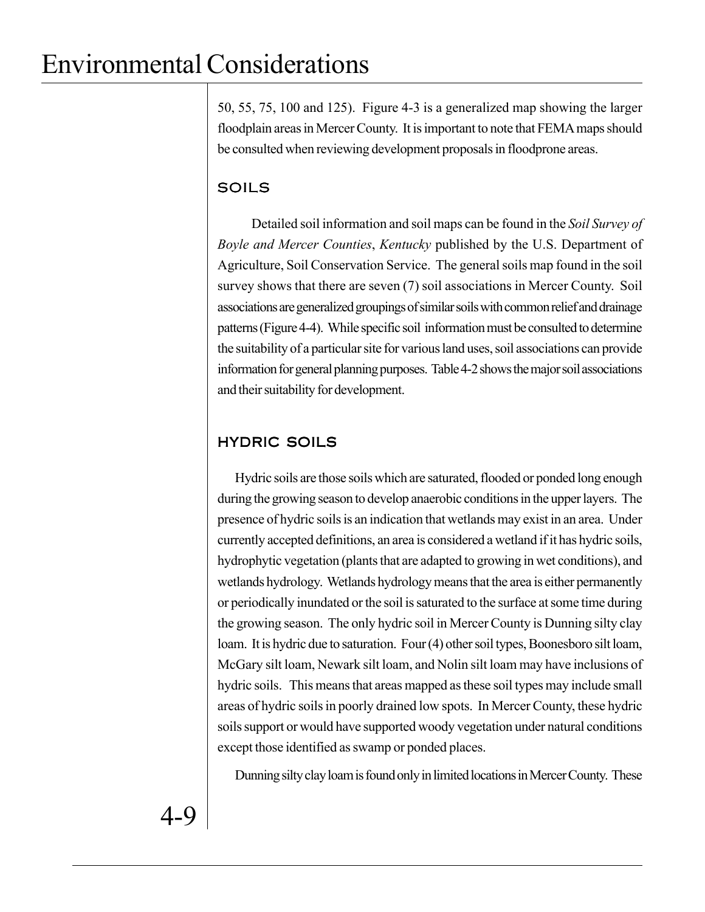50, 55, 75, 100 and 125). Figure 4-3 is a generalized map showing the larger floodplain areas in Mercer County. It is important to note that FEMA maps should be consulted when reviewing development proposals in floodprone areas.

## SOILS

Detailed soil information and soil maps can be found in the *Soil Survey of Boyle and Mercer Counties*, *Kentucky* published by the U.S. Department of Agriculture, Soil Conservation Service. The general soils map found in the soil survey shows that there are seven (7) soil associations in Mercer County. Soil associations are generalized groupings of similar soils with common relief and drainage patterns (Figure 4-4). While specific soil information must be consulted to determine the suitability of a particular site for various land uses, soil associations can provide information for general planning purposes. Table 4-2 shows the major soil associations and their suitability for development.

## HYDRIC SOILS

Hydric soils are those soils which are saturated, flooded or ponded long enough during the growing season to develop anaerobic conditions in the upper layers. The presence of hydric soils is an indication that wetlands may exist in an area. Under currently accepted definitions, an area is considered a wetland if it has hydric soils, hydrophytic vegetation (plants that are adapted to growing in wet conditions), and wetlands hydrology. Wetlands hydrology means that the area is either permanently or periodically inundated or the soil is saturated to the surface at some time during the growing season. The only hydric soil in Mercer County is Dunning silty clay loam. It is hydric due to saturation. Four (4) other soil types, Boonesboro silt loam, McGary silt loam, Newark silt loam, and Nolin silt loam may have inclusions of hydric soils. This means that areas mapped as these soil types may include small areas of hydric soils in poorly drained low spots. In Mercer County, these hydric soils support or would have supported woody vegetation under natural conditions except those identified as swamp or ponded places.

Dunning silty clay loam is found only in limited locations in Mercer County. These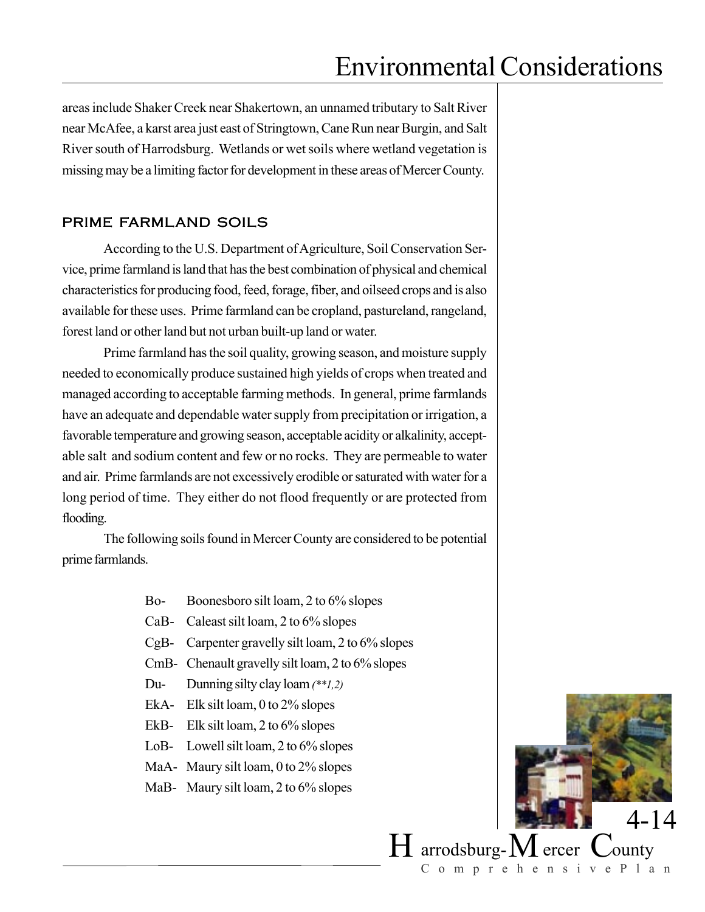areas include Shaker Creek near Shakertown, an unnamed tributary to Salt River near McAfee, a karst area just east of Stringtown, Cane Run near Burgin, and Salt River south of Harrodsburg. Wetlands or wet soils where wetland vegetation is missing may be a limiting factor for development in these areas of Mercer County.

#### PRIME FARMLAND SOILS

According to the U.S. Department of Agriculture, Soil Conservation Service, prime farmland is land that has the best combination of physical and chemical characteristics for producing food, feed, forage, fiber, and oilseed crops and is also available for these uses. Prime farmland can be cropland, pastureland, rangeland, forest land or other land but not urban built-up land or water.

Prime farmland has the soil quality, growing season, and moisture supply needed to economically produce sustained high yields of crops when treated and managed according to acceptable farming methods. In general, prime farmlands have an adequate and dependable water supply from precipitation or irrigation, a favorable temperature and growing season, acceptable acidity or alkalinity, acceptable salt and sodium content and few or no rocks. They are permeable to water and air. Prime farmlands are not excessively erodible or saturated with water for a long period of time. They either do not flood frequently or are protected from flooding.

The following soils found in Mercer County are considered to be potential prime farmlands.

- Bo- Boonesboro silt loam, 2 to 6% slopes
- CaB- Caleast silt loam, 2 to 6% slopes
- CgB- Carpenter gravelly silt loam, 2 to 6% slopes
- CmB- Chenault gravelly silt loam, 2 to 6% slopes
- Du- Dunning silty clay loam *(\*\*1,2)*
- EkA- Elk silt loam, 0 to 2% slopes
- EkB- Elk silt loam, 2 to 6% slopes
- LoB- Lowell silt loam, 2 to 6% slopes
- MaA- Maury silt loam, 0 to 2% slopes
- MaB- Maury silt loam, 2 to 6% slopes



ComprehensivePlan

 $H$  arrodsburg- $M$  ercer  $C$ ounty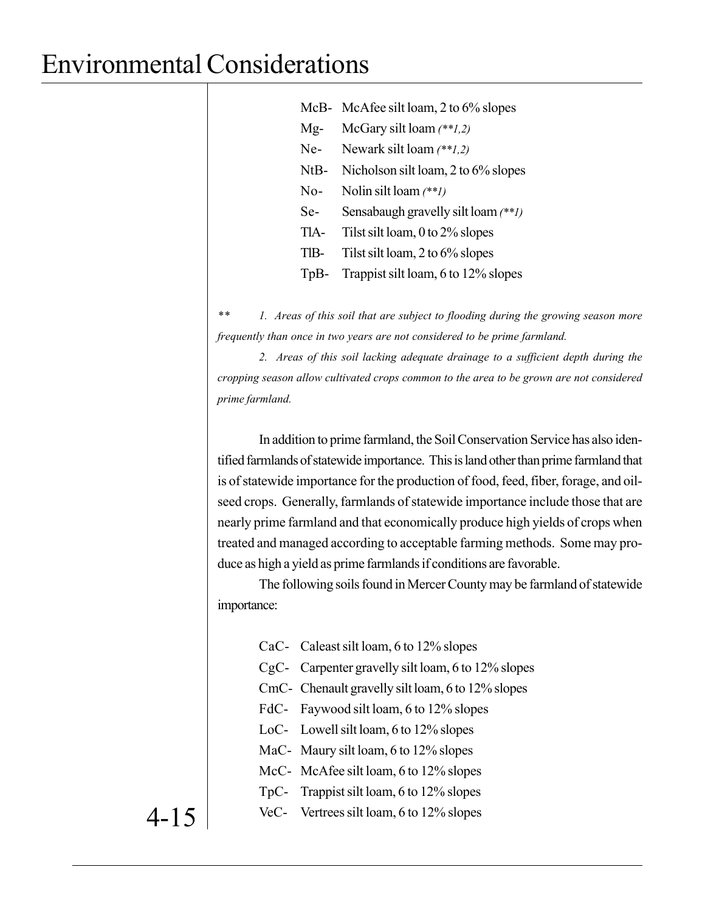|        | McB- McAfee silt loam, 2 to 6% slopes        |
|--------|----------------------------------------------|
| $Mg-$  | McGary silt loam $(**1,2)$                   |
| $Ne-$  | Newark silt loam $(**1,2)$                   |
| $NtB-$ | Nicholson silt loam, 2 to 6% slopes          |
| $No-$  | Nolin silt loam $(**1)$                      |
| Se-    | Sensabaugh gravelly silt loam (** <i>1</i> ) |
| TIA-   | Tilst silt loam, 0 to 2% slopes              |
| TIB-   | Tilst silt loam, 2 to 6% slopes              |
| $TpB-$ | Trappist silt loam, 6 to 12% slopes          |

*\*\* 1. Areas of this soil that are subject to flooding during the growing season more frequently than once in two years are not considered to be prime farmland.*

*2. Areas of this soil lacking adequate drainage to a sufficient depth during the cropping season allow cultivated crops common to the area to be grown are not considered prime farmland.*

In addition to prime farmland, the Soil Conservation Service has also identified farmlands of statewide importance. This is land other than prime farmland that is of statewide importance for the production of food, feed, fiber, forage, and oilseed crops. Generally, farmlands of statewide importance include those that are nearly prime farmland and that economically produce high yields of crops when treated and managed according to acceptable farming methods. Some may produce as high a yield as prime farmlands if conditions are favorable.

The following soils found in Mercer County may be farmland of statewide importance:

- CaC- Caleast silt loam, 6 to 12% slopes
- CgC- Carpenter gravelly silt loam, 6 to 12% slopes
- CmC- Chenault gravelly silt loam, 6 to 12% slopes
- FdC- Faywood silt loam, 6 to 12% slopes
- LoC- Lowell silt loam, 6 to 12% slopes
- MaC- Maury silt loam, 6 to 12% slopes
- McC-McAfee silt loam, 6 to 12% slopes
- TpC- Trappist silt loam, 6 to 12% slopes
- VeC- Vertrees silt loam, 6 to 12% slopes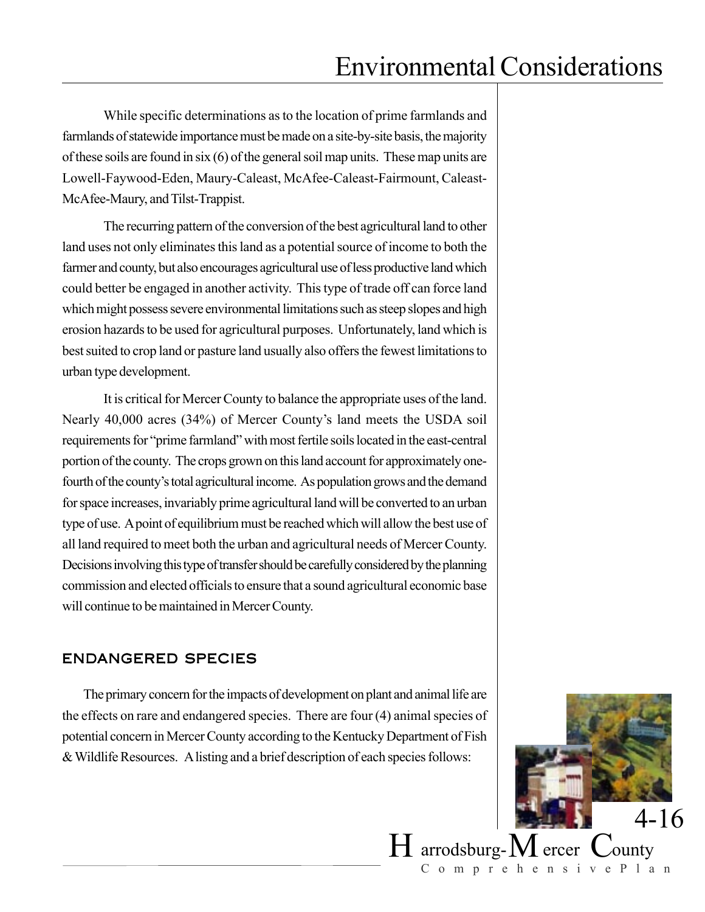While specific determinations as to the location of prime farmlands and farmlands of statewide importance must be made on a site-by-site basis, the majority of these soils are found in six (6) of the general soil map units. These map units are Lowell-Faywood-Eden, Maury-Caleast, McAfee-Caleast-Fairmount, Caleast-McAfee-Maury, and Tilst-Trappist.

The recurring pattern of the conversion of the best agricultural land to other land uses not only eliminates this land as a potential source of income to both the farmer and county, but also encourages agricultural use of less productive land which could better be engaged in another activity. This type of trade off can force land which might possess severe environmental limitations such as steep slopes and high erosion hazards to be used for agricultural purposes. Unfortunately, land which is best suited to crop land or pasture land usually also offers the fewest limitations to urban type development.

It is critical for Mercer County to balance the appropriate uses of the land. Nearly 40,000 acres (34%) of Mercer County's land meets the USDA soil requirements for "prime farmland" with most fertile soils located in the east-central portion of the county. The crops grown on this land account for approximately onefourth of the county's total agricultural income. As population grows and the demand for space increases, invariably prime agricultural land will be converted to an urban type of use. A point of equilibrium must be reached which will allow the best use of all land required to meet both the urban and agricultural needs of Mercer County. Decisions involving this type of transfer should be carefully considered by the planning commission and elected officials to ensure that a sound agricultural economic base will continue to be maintained in Mercer County.

### ENDANGERED SPECIES

The primary concern for the impacts of development on plant and animal life are the effects on rare and endangered species. There are four (4) animal species of potential concern in Mercer County according to the Kentucky Department of Fish & Wildlife Resources. A listing and a brief description of each species follows:



ComprehensivePlan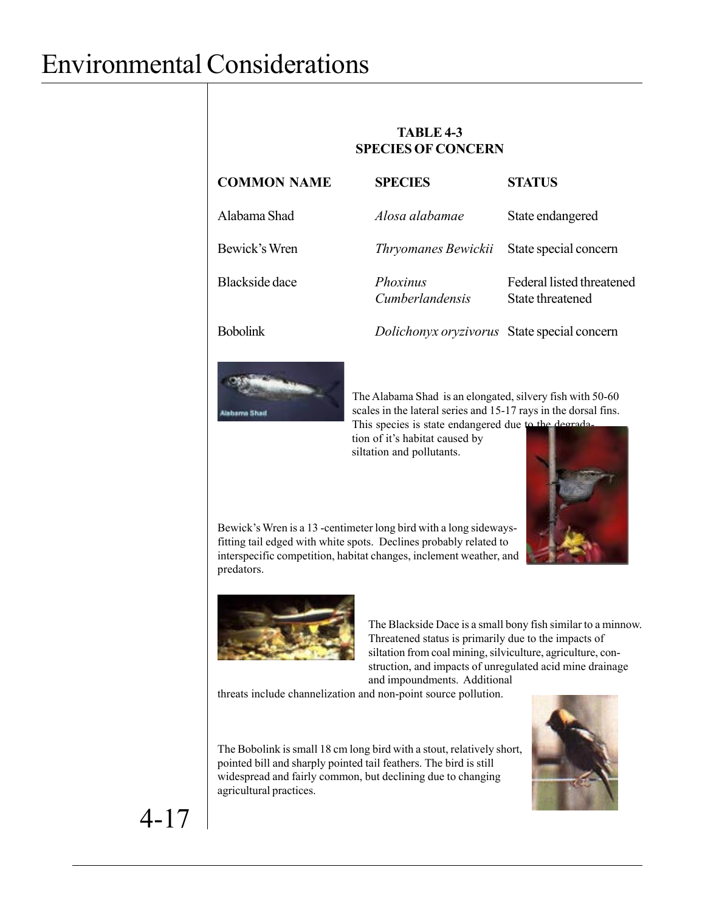#### **TABLE 4-3 SPECIES OF CONCERN**

| <b>COMMON NAME</b>    | <b>SPECIES</b>                              | <b>STATUS</b>                                 |
|-----------------------|---------------------------------------------|-----------------------------------------------|
| Alabama Shad          | Alosa alabamae                              | State endangered                              |
| Bewick's Wren         | Thryomanes Bewickii                         | State special concern                         |
| <b>Blackside</b> dace | <i>Phoxinus</i><br><i>Cumberlandensis</i>   | Federal listed threatened<br>State threatened |
| <b>Bobolink</b>       | Dolichonyx oryzivorus State special concern |                                               |



The Alabama Shad is an elongated, silvery fish with 50-60 scales in the lateral series and 15-17 rays in the dorsal fins. This species is state endangered due to the degrada-

tion of it's habitat caused by siltation and pollutants.



Bewick's Wren is a 13 -centimeter long bird with a long sidewaysfitting tail edged with white spots. Declines probably related to interspecific competition, habitat changes, inclement weather, and predators.



The Blackside Dace is a small bony fish similar to a minnow. Threatened status is primarily due to the impacts of siltation from coal mining, silviculture, agriculture, construction, and impacts of unregulated acid mine drainage and impoundments. Additional

threats include channelization and non-point source pollution.

The Bobolink is small 18 cm long bird with a stout, relatively short, pointed bill and sharply pointed tail feathers. The bird is still widespread and fairly common, but declining due to changing agricultural practices.